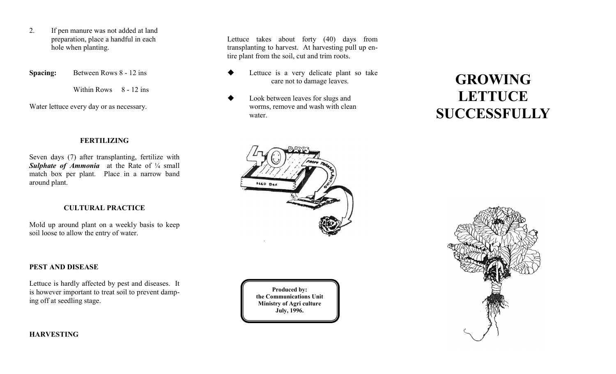- 2. If pen manure was not added at land preparation, place a handful in each hole when planting.
- **Spacing:** Between Rows 8 12 ins

Within Rows 8 - 12 ins

Water lettuce every day or as necessary.

#### **FERTILIZING**

Seven days (7) after transplanting, fertilize with **Sulphate of Ammonia** at the Rate of  $\frac{1}{4}$  small match box per plant. Place in a narrow band around plant.

#### **CULTURAL PRACTICE**

Mold up around plant on a weekly basis to keep soil loose to allow the entry of water.

### **PEST AND DISEASE**

Lettuce is hardly affected by pest and diseases. It is however important to treat soil to prevent damping off at seedling stage.

**Produced by: the Communications Unit Ministry of Agri culture July, 1996.**

# **GROWING LETTUCE SUCCESSFULLY**



Lettuce takes about forty (40) days from transplanting to harvest. At harvesting pull up en-

> Look between leaves for slugs and worms, remove and wash with clean

 Lettuce is a very delicate plant so take care not to damage leaves.

tire plant from the soil, cut and trim roots.

water.

**HARVESTING**